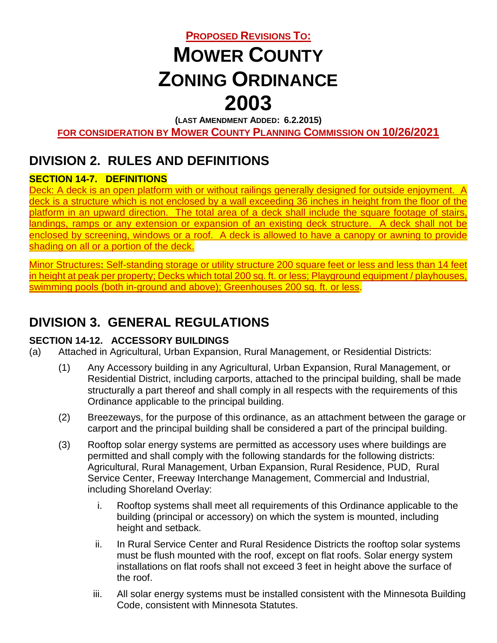# **PROPOSED REVISIONS TO: MOWER COUNTY ZONING ORDINANCE 2003**

**(LAST AMENDMENT ADDED: 6.2.2015)**

**FOR CONSIDERATION BY MOWER COUNTY PLANNING COMMISSION ON 10/26/2021**

## **DIVISION 2. RULES AND DEFINITIONS**

### **SECTION 14-7. DEFINITIONS**

Deck: A deck is an open platform with or without railings generally designed for outside enjoyment. A deck is a structure which is not enclosed by a wall exceeding 36 inches in height from the floor of the platform in an upward direction. The total area of a deck shall include the square footage of stairs, landings, ramps or any extension or expansion of an existing deck structure. A deck shall not be enclosed by screening, windows or a roof. A deck is allowed to have a canopy or awning to provide shading on all or a portion of the deck.

Minor Structures**:** Self-standing storage or utility structure 200 square feet or less and less than 14 feet in height at peak per property; Decks which total 200 sq. ft. or less; Playground equipment / playhouses, swimming pools (both in-ground and above); Greenhouses 200 sq. ft. or less.

### **DIVISION 3. GENERAL REGULATIONS**

#### **SECTION 14-12. ACCESSORY BUILDINGS**

- (a) Attached in Agricultural, Urban Expansion, Rural Management, or Residential Districts:
	- (1) Any Accessory building in any Agricultural, Urban Expansion, Rural Management, or Residential District, including carports, attached to the principal building, shall be made structurally a part thereof and shall comply in all respects with the requirements of this Ordinance applicable to the principal building.
	- (2) Breezeways, for the purpose of this ordinance, as an attachment between the garage or carport and the principal building shall be considered a part of the principal building.
	- (3) Rooftop solar energy systems are permitted as accessory uses where buildings are permitted and shall comply with the following standards for the following districts: Agricultural, Rural Management, Urban Expansion, Rural Residence, PUD, Rural Service Center, Freeway Interchange Management, Commercial and Industrial, including Shoreland Overlay:
		- i. Rooftop systems shall meet all requirements of this Ordinance applicable to the building (principal or accessory) on which the system is mounted, including height and setback.
		- ii. In Rural Service Center and Rural Residence Districts the rooftop solar systems must be flush mounted with the roof, except on flat roofs. Solar energy system installations on flat roofs shall not exceed 3 feet in height above the surface of the roof.
		- iii. All solar energy systems must be installed consistent with the Minnesota Building Code, consistent with Minnesota Statutes.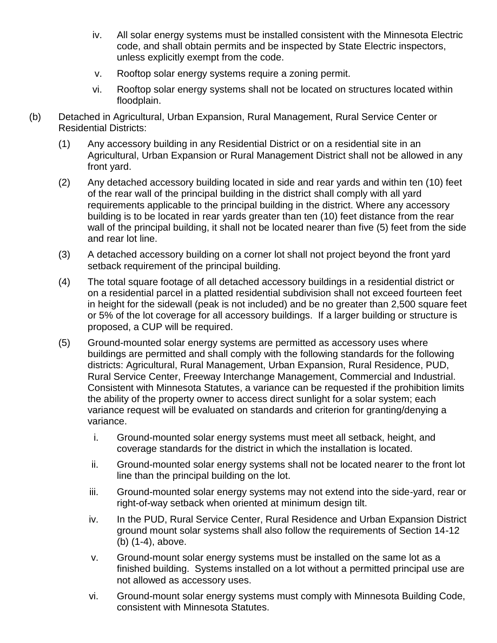- iv. All solar energy systems must be installed consistent with the Minnesota Electric code, and shall obtain permits and be inspected by State Electric inspectors, unless explicitly exempt from the code.
- v. Rooftop solar energy systems require a zoning permit.
- vi. Rooftop solar energy systems shall not be located on structures located within floodplain.
- (b) Detached in Agricultural, Urban Expansion, Rural Management, Rural Service Center or Residential Districts:
	- (1) Any accessory building in any Residential District or on a residential site in an Agricultural, Urban Expansion or Rural Management District shall not be allowed in any front yard.
	- (2) Any detached accessory building located in side and rear yards and within ten (10) feet of the rear wall of the principal building in the district shall comply with all yard requirements applicable to the principal building in the district. Where any accessory building is to be located in rear yards greater than ten (10) feet distance from the rear wall of the principal building, it shall not be located nearer than five (5) feet from the side and rear lot line.
	- (3) A detached accessory building on a corner lot shall not project beyond the front yard setback requirement of the principal building.
	- (4) The total square footage of all detached accessory buildings in a residential district or on a residential parcel in a platted residential subdivision shall not exceed fourteen feet in height for the sidewall (peak is not included) and be no greater than 2,500 square feet or 5% of the lot coverage for all accessory buildings. If a larger building or structure is proposed, a CUP will be required.
	- (5) Ground-mounted solar energy systems are permitted as accessory uses where buildings are permitted and shall comply with the following standards for the following districts: Agricultural, Rural Management, Urban Expansion, Rural Residence, PUD, Rural Service Center, Freeway Interchange Management, Commercial and Industrial. Consistent with Minnesota Statutes, a variance can be requested if the prohibition limits the ability of the property owner to access direct sunlight for a solar system; each variance request will be evaluated on standards and criterion for granting/denying a variance.
		- i. Ground-mounted solar energy systems must meet all setback, height, and coverage standards for the district in which the installation is located.
		- ii. Ground-mounted solar energy systems shall not be located nearer to the front lot line than the principal building on the lot.
		- iii. Ground-mounted solar energy systems may not extend into the side-yard, rear or right-of-way setback when oriented at minimum design tilt.
		- iv. In the PUD, Rural Service Center, Rural Residence and Urban Expansion District ground mount solar systems shall also follow the requirements of Section 14-12 (b) (1-4), above.
		- v. Ground-mount solar energy systems must be installed on the same lot as a finished building. Systems installed on a lot without a permitted principal use are not allowed as accessory uses.
		- vi. Ground-mount solar energy systems must comply with Minnesota Building Code, consistent with Minnesota Statutes.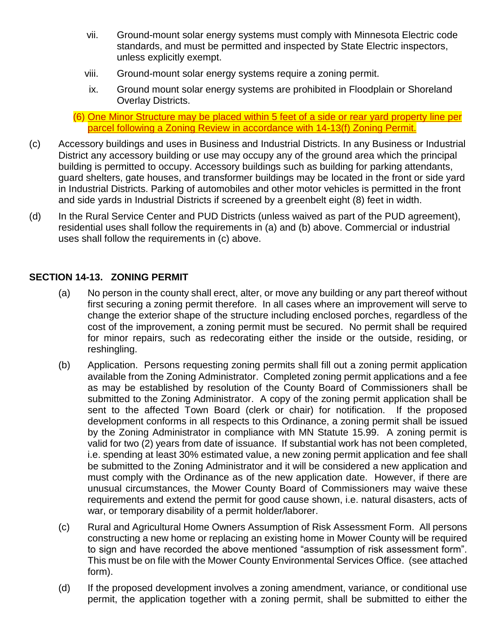- vii. Ground-mount solar energy systems must comply with Minnesota Electric code standards, and must be permitted and inspected by State Electric inspectors, unless explicitly exempt.
- viii. Ground-mount solar energy systems require a zoning permit.
- ix. Ground mount solar energy systems are prohibited in Floodplain or Shoreland Overlay Districts.

(6) One Minor Structure may be placed within 5 feet of a side or rear yard property line per parcel following a Zoning Review in accordance with 14-13(f) Zoning Permit.

- (c) Accessory buildings and uses in Business and Industrial Districts. In any Business or Industrial District any accessory building or use may occupy any of the ground area which the principal building is permitted to occupy. Accessory buildings such as building for parking attendants, guard shelters, gate houses, and transformer buildings may be located in the front or side yard in Industrial Districts. Parking of automobiles and other motor vehicles is permitted in the front and side yards in Industrial Districts if screened by a greenbelt eight (8) feet in width.
- (d) In the Rural Service Center and PUD Districts (unless waived as part of the PUD agreement), residential uses shall follow the requirements in (a) and (b) above. Commercial or industrial uses shall follow the requirements in (c) above.

#### **SECTION 14-13. ZONING PERMIT**

- (a) No person in the county shall erect, alter, or move any building or any part thereof without first securing a zoning permit therefore. In all cases where an improvement will serve to change the exterior shape of the structure including enclosed porches, regardless of the cost of the improvement, a zoning permit must be secured. No permit shall be required for minor repairs, such as redecorating either the inside or the outside, residing, or reshingling.
- (b) Application. Persons requesting zoning permits shall fill out a zoning permit application available from the Zoning Administrator. Completed zoning permit applications and a fee as may be established by resolution of the County Board of Commissioners shall be submitted to the Zoning Administrator. A copy of the zoning permit application shall be sent to the affected Town Board (clerk or chair) for notification. If the proposed development conforms in all respects to this Ordinance, a zoning permit shall be issued by the Zoning Administrator in compliance with MN Statute 15.99. A zoning permit is valid for two (2) years from date of issuance. If substantial work has not been completed, i.e. spending at least 30% estimated value, a new zoning permit application and fee shall be submitted to the Zoning Administrator and it will be considered a new application and must comply with the Ordinance as of the new application date. However, if there are unusual circumstances, the Mower County Board of Commissioners may waive these requirements and extend the permit for good cause shown, i.e. natural disasters, acts of war, or temporary disability of a permit holder/laborer.
- (c) Rural and Agricultural Home Owners Assumption of Risk Assessment Form. All persons constructing a new home or replacing an existing home in Mower County will be required to sign and have recorded the above mentioned "assumption of risk assessment form". This must be on file with the Mower County Environmental Services Office. (see attached form).
- (d) If the proposed development involves a zoning amendment, variance, or conditional use permit, the application together with a zoning permit, shall be submitted to either the